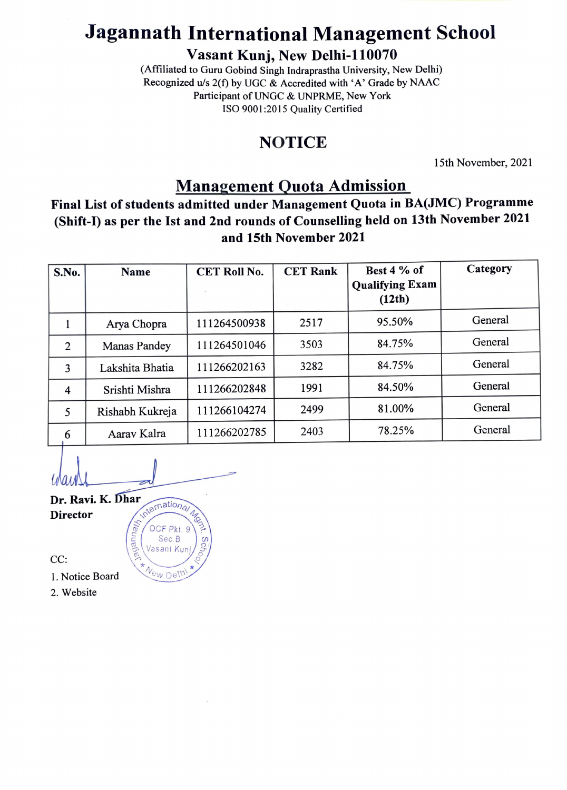## Jagannath International Management School

Vasant Kunj, New Delhi-110070

(Affiliated to Guru Gobind Singh Indraprastha University, New Delhi) Recognized u/s  $2(f)$  by UGC & Accredited with 'A' Grade by NAAC Participant of UNGC & UNPRME, New York ISO 9001:2015 Quality Certified

## **NOTICE**

15th November, 2021

### Management Quota Admission

Final List of students admitted under Management Quota in BA(JMC) Programme (Shift-) as per the Ist and 2nd rounds of Counselling held on 13th November 2021 and 15th November 2021

| S.No.          | <b>Name</b>         | <b>CET Roll No.</b> | <b>CET Rank</b> | Best 4 % of<br><b>Qualifying Exam</b><br>(12th) | Category |
|----------------|---------------------|---------------------|-----------------|-------------------------------------------------|----------|
|                | Arya Chopra         | 111264500938        | 2517            | 95.50%                                          | General  |
| $\overline{2}$ | <b>Manas Pandey</b> | 111264501046        | 3503            | 84.75%                                          | General  |
| 3              | Lakshita Bhatia     | 111266202163        | 3282            | 84.75%                                          | General  |
| 4              | Srishti Mishra      | 111266202848        | 1991            | 84.50%                                          | General  |
| 5              | Rishabh Kukreja     | 111266104274        | 2499            | 81.00%                                          | General  |
| 6              | Aarav Kalra         | 111266202785        | 2403            | 78.25%                                          | General  |

Dr. Ravi. K. Dhar Director M. Duar Memational

OCF Pkt. 9

Sec. B Vasant Kur

CC:<br>1. Notice Board  $x_{\text{New Delhi}}$ 

2. Website